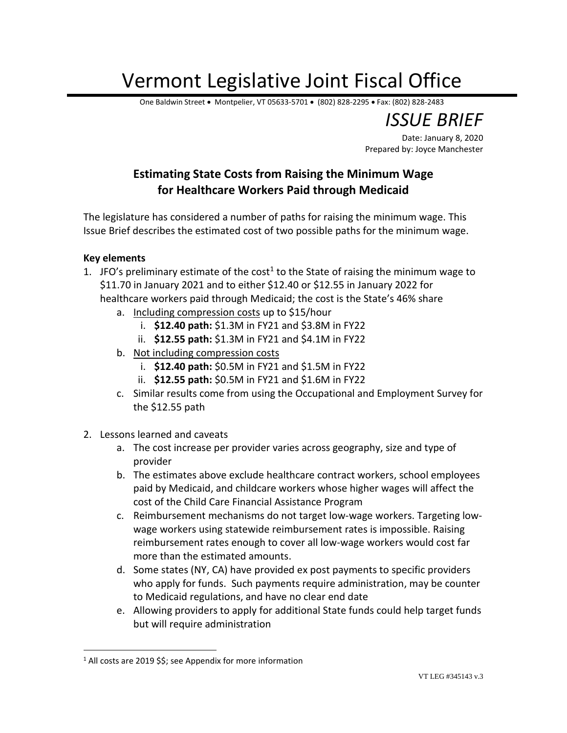## Vermont Legislative Joint Fiscal Office

One Baldwin Street • Montpelier, VT 05633-5701 • (802) 828-2295 • Fax: (802) 828-2483

*ISSUE BRIEF*

Date: January 8, 2020 Prepared by: Joyce Manchester

## **Estimating State Costs from Raising the Minimum Wage for Healthcare Workers Paid through Medicaid**

The legislature has considered a number of paths for raising the minimum wage. This Issue Brief describes the estimated cost of two possible paths for the minimum wage.

## **Key elements**

 $\overline{a}$ 

- 1. JFO's preliminary estimate of the cost<sup>1</sup> to the State of raising the minimum wage to \$11.70 in January 2021 and to either \$12.40 or \$12.55 in January 2022 for healthcare workers paid through Medicaid; the cost is the State's 46% share
	- a. Including compression costs up to \$15/hour
		- i. **\$12.40 path:** \$1.3M in FY21 and \$3.8M in FY22
		- ii. **\$12.55 path:** \$1.3M in FY21 and \$4.1M in FY22
	- b. Not including compression costs
		- i. **\$12.40 path:** \$0.5M in FY21 and \$1.5M in FY22
		- ii. **\$12.55 path:** \$0.5M in FY21 and \$1.6M in FY22
	- c. Similar results come from using the Occupational and Employment Survey for the \$12.55 path
- 2. Lessons learned and caveats
	- a. The cost increase per provider varies across geography, size and type of provider
	- b. The estimates above exclude healthcare contract workers, school employees paid by Medicaid, and childcare workers whose higher wages will affect the cost of the Child Care Financial Assistance Program
	- c. Reimbursement mechanisms do not target low-wage workers. Targeting lowwage workers using statewide reimbursement rates is impossible. Raising reimbursement rates enough to cover all low-wage workers would cost far more than the estimated amounts.
	- d. Some states (NY, CA) have provided ex post payments to specific providers who apply for funds. Such payments require administration, may be counter to Medicaid regulations, and have no clear end date
	- e. Allowing providers to apply for additional State funds could help target funds but will require administration

<sup>1</sup> All costs are 2019 \$\$; see Appendix for more information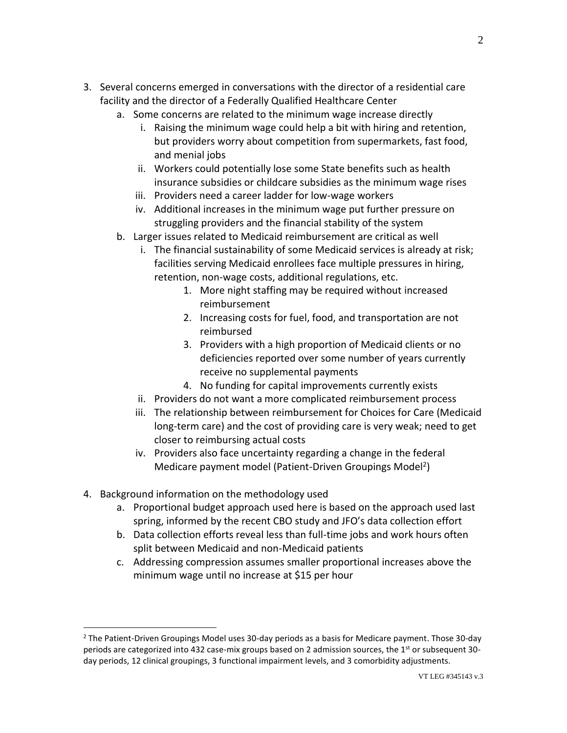- 3. Several concerns emerged in conversations with the director of a residential care facility and the director of a Federally Qualified Healthcare Center
	- a. Some concerns are related to the minimum wage increase directly
		- i. Raising the minimum wage could help a bit with hiring and retention, but providers worry about competition from supermarkets, fast food, and menial jobs
		- ii. Workers could potentially lose some State benefits such as health insurance subsidies or childcare subsidies as the minimum wage rises
		- iii. Providers need a career ladder for low-wage workers
		- iv. Additional increases in the minimum wage put further pressure on struggling providers and the financial stability of the system
	- b. Larger issues related to Medicaid reimbursement are critical as well
		- i. The financial sustainability of some Medicaid services is already at risk; facilities serving Medicaid enrollees face multiple pressures in hiring, retention, non-wage costs, additional regulations, etc.
			- 1. More night staffing may be required without increased reimbursement
			- 2. Increasing costs for fuel, food, and transportation are not reimbursed
			- 3. Providers with a high proportion of Medicaid clients or no deficiencies reported over some number of years currently receive no supplemental payments
			- 4. No funding for capital improvements currently exists
		- ii. Providers do not want a more complicated reimbursement process
		- iii. The relationship between reimbursement for Choices for Care (Medicaid long-term care) and the cost of providing care is very weak; need to get closer to reimbursing actual costs
		- iv. Providers also face uncertainty regarding a change in the federal Medicare payment model (Patient-Driven Groupings Model<sup>2</sup>)
- 4. Background information on the methodology used

 $\overline{a}$ 

- a. Proportional budget approach used here is based on the approach used last spring, informed by the recent CBO study and JFO's data collection effort
- b. Data collection efforts reveal less than full-time jobs and work hours often split between Medicaid and non-Medicaid patients
- c. Addressing compression assumes smaller proportional increases above the minimum wage until no increase at \$15 per hour

 $<sup>2</sup>$  The Patient-Driven Groupings Model uses 30-day periods as a basis for Medicare payment. Those 30-day</sup> periods are categorized into 432 case-mix groups based on 2 admission sources, the 1st or subsequent 30day periods, 12 clinical groupings, 3 functional impairment levels, and 3 comorbidity adjustments.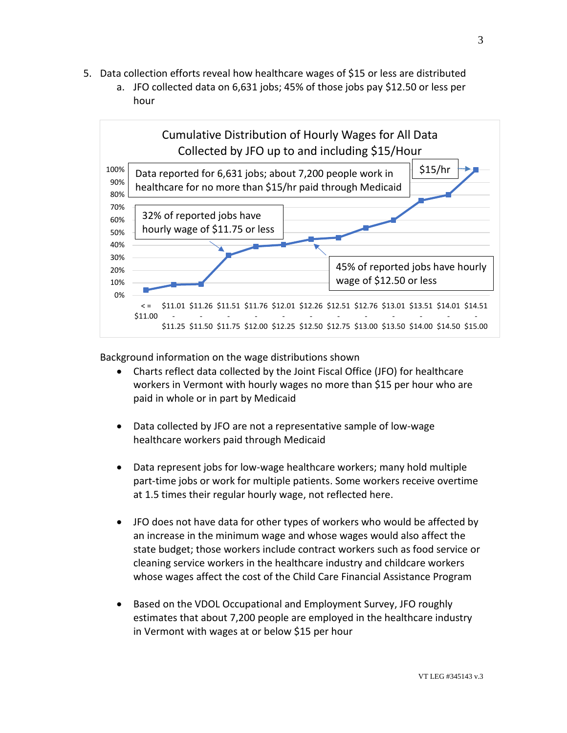- 5. Data collection efforts reveal how healthcare wages of \$15 or less are distributed
	- a. JFO collected data on 6,631 jobs; 45% of those jobs pay \$12.50 or less per hour



Background information on the wage distributions shown

- Charts reflect data collected by the Joint Fiscal Office (JFO) for healthcare workers in Vermont with hourly wages no more than \$15 per hour who are paid in whole or in part by Medicaid
- Data collected by JFO are not a representative sample of low-wage healthcare workers paid through Medicaid
- Data represent jobs for low-wage healthcare workers; many hold multiple part-time jobs or work for multiple patients. Some workers receive overtime at 1.5 times their regular hourly wage, not reflected here.
- JFO does not have data for other types of workers who would be affected by an increase in the minimum wage and whose wages would also affect the state budget; those workers include contract workers such as food service or cleaning service workers in the healthcare industry and childcare workers whose wages affect the cost of the Child Care Financial Assistance Program
- Based on the VDOL Occupational and Employment Survey, JFO roughly estimates that about 7,200 people are employed in the healthcare industry in Vermont with wages at or below \$15 per hour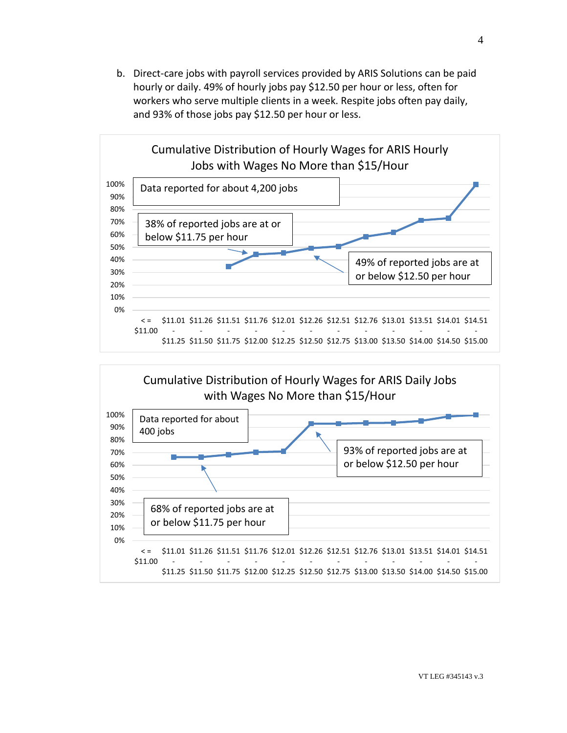b. Direct-care jobs with payroll services provided by ARIS Solutions can be paid hourly or daily. 49% of hourly jobs pay \$12.50 per hour or less, often for workers who serve multiple clients in a week. Respite jobs often pay daily, and 93% of those jobs pay \$12.50 per hour or less.



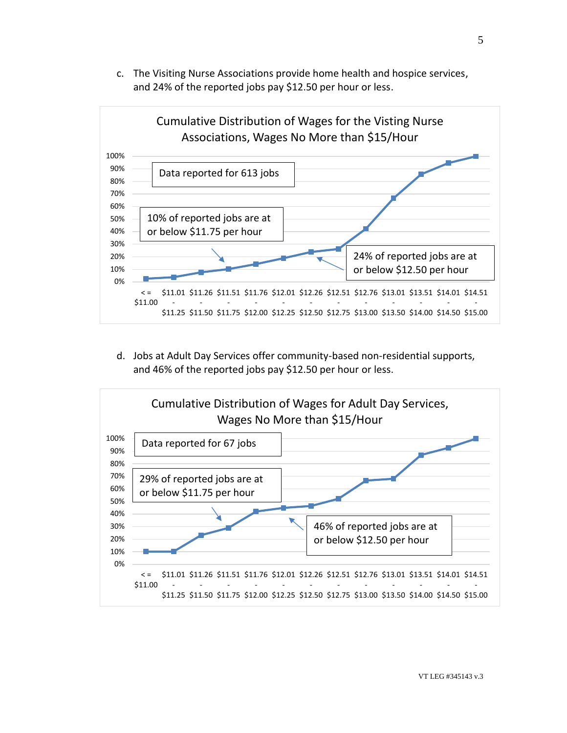c. The Visiting Nurse Associations provide home health and hospice services, and 24% of the reported jobs pay \$12.50 per hour or less.



d. Jobs at Adult Day Services offer community-based non-residential supports, and 46% of the reported jobs pay \$12.50 per hour or less.

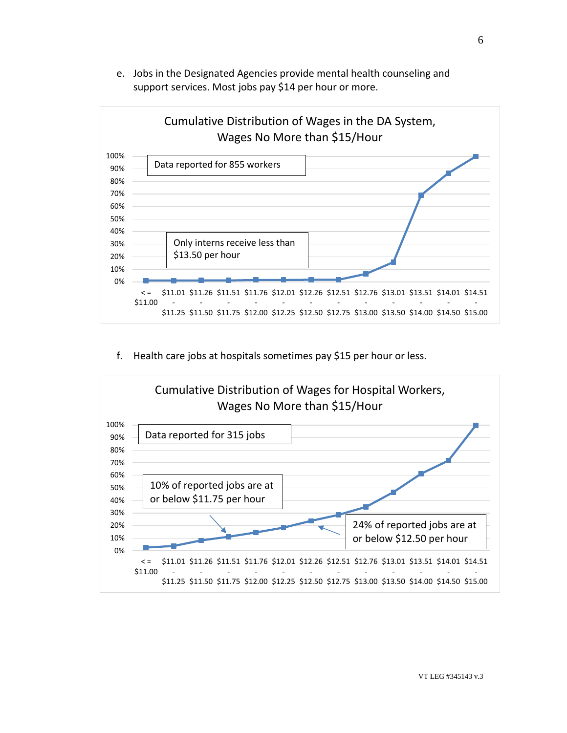e. Jobs in the Designated Agencies provide mental health counseling and support services. Most jobs pay \$14 per hour or more.



f. Health care jobs at hospitals sometimes pay \$15 per hour or less.

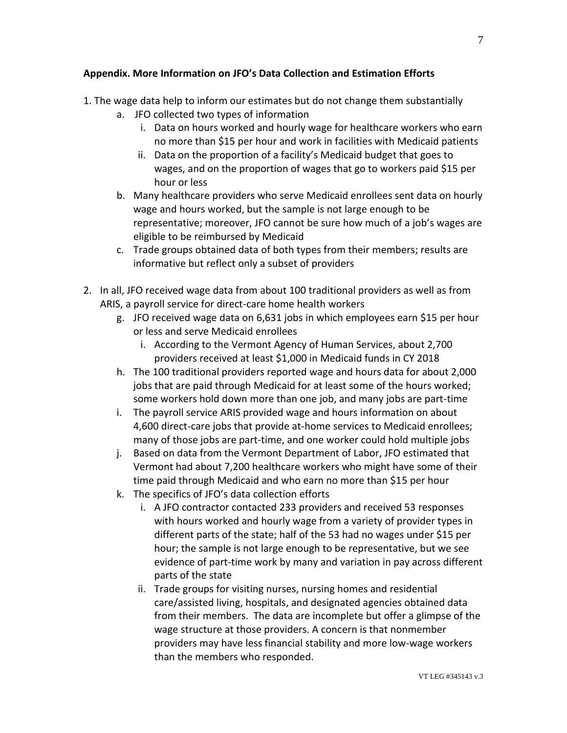## **Appendix. More Information on JFO's Data Collection and Estimation Efforts**

- 1. The wage data help to inform our estimates but do not change them substantially
	- a. JFO collected two types of information
		- i. Data on hours worked and hourly wage for healthcare workers who earn no more than \$15 per hour and work in facilities with Medicaid patients
		- ii. Data on the proportion of a facility's Medicaid budget that goes to wages, and on the proportion of wages that go to workers paid \$15 per hour or less
	- b. Many healthcare providers who serve Medicaid enrollees sent data on hourly wage and hours worked, but the sample is not large enough to be representative; moreover, JFO cannot be sure how much of a job's wages are eligible to be reimbursed by Medicaid
	- c. Trade groups obtained data of both types from their members; results are informative but reflect only a subset of providers
- 2. In all, JFO received wage data from about 100 traditional providers as well as from ARIS, a payroll service for direct-care home health workers
	- g. JFO received wage data on 6,631 jobs in which employees earn \$15 per hour or less and serve Medicaid enrollees
		- i. According to the Vermont Agency of Human Services, about 2,700 providers received at least \$1,000 in Medicaid funds in CY 2018
	- h. The 100 traditional providers reported wage and hours data for about 2,000 jobs that are paid through Medicaid for at least some of the hours worked; some workers hold down more than one job, and many jobs are part-time
	- i. The payroll service ARIS provided wage and hours information on about 4,600 direct-care jobs that provide at-home services to Medicaid enrollees; many of those jobs are part-time, and one worker could hold multiple jobs
	- j. Based on data from the Vermont Department of Labor, JFO estimated that Vermont had about 7,200 healthcare workers who might have some of their time paid through Medicaid and who earn no more than \$15 per hour
	- k. The specifics of JFO's data collection efforts
		- i. A JFO contractor contacted 233 providers and received 53 responses with hours worked and hourly wage from a variety of provider types in different parts of the state; half of the 53 had no wages under \$15 per hour; the sample is not large enough to be representative, but we see evidence of part-time work by many and variation in pay across different parts of the state
		- ii. Trade groups for visiting nurses, nursing homes and residential care/assisted living, hospitals, and designated agencies obtained data from their members. The data are incomplete but offer a glimpse of the wage structure at those providers. A concern is that nonmember providers may have less financial stability and more low-wage workers than the members who responded.